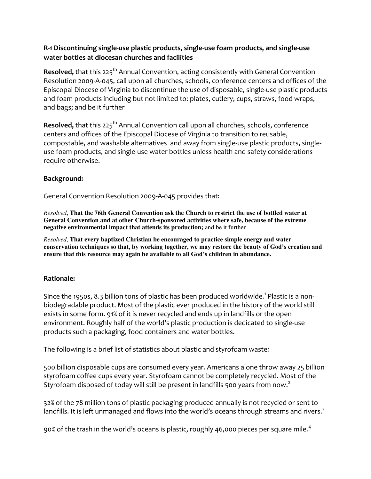# **R-1 Discontinuing single-use plastic products, single-use foam products, and single-use water bottles at diocesan churches and facilities**

**Resolved,** that this 225<sup>th</sup> Annual Convention, acting consistently with General Convention Resolution 2009-A-045, call upon all churches, schools, conference centers and offices of the Episcopal Diocese of Virginia to discontinue the use of disposable, single-use plastic products and foam products including but not limited to: plates, cutlery, cups, straws, food wraps, and bags; and be it further

**Resolved,** that this 225<sup>th</sup> Annual Convention call upon all churches, schools, conference centers and offices of the Episcopal Diocese of Virginia to transition to reusable, compostable, and washable alternatives and away from single-use plastic products, singleuse foam products, and single-use water bottles unless health and safety considerations require otherwise.

# **Background:**

General Convention Resolution 2009-A-045 provides that:

*Resolved*, **That the 76th General Convention ask the Church to restrict the use of bottled water at General Convention and at other Church-sponsored activities where safe, because of the extreme negative environmental impact that attends its production;** and be it further

*Resolved*, **That every baptized Christian be encouraged to practice simple energy and water conservation techniques so that, by working together, we may restore the beauty of God's creation and ensure that this resource may again be available to all God's children in abundance.** 

### **Rationale:**

Since the 1950s, 8.3 billion tons of plastic has been produced worldwide. $^1$  Plastic is a nonbiodegradable product. Most of the plastic ever produced in the history of the world still exists in some form. 91% of it is never recycled and ends up in landfills or the open environment. Roughly half of the world's plastic production is dedicated to single-use products such a packaging, food containers and water bottles.

The following is a brief list of statistics about plastic and styrofoam waste:

500 billion disposable cups are consumed every year. Americans alone throw away 25 billion styrofoam coffee cups every year. Styrofoam cannot be completely recycled. Most of the Styrofoam disposed of today will still be present in landfills 500 years from now. $^2$ 

32% of the 78 million tons of plastic packaging produced annually is not recycled or sent to landfills. It is left unmanaged and flows into the world's oceans through streams and rivers. $^3$ 

90% of the trash in the world's oceans is plastic, roughly 46,000 pieces per square mile. $^4$